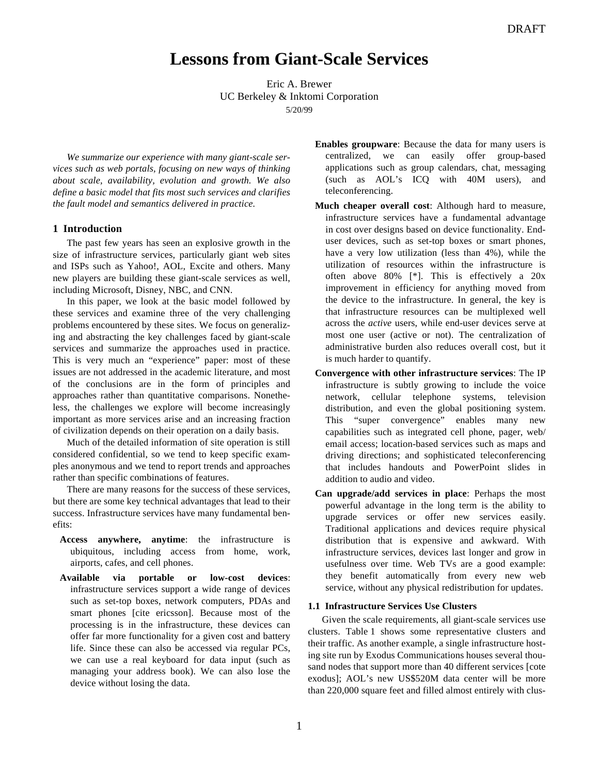# **Lessons from Giant-Scale Services**

Eric A. Brewer UC Berkeley & Inktomi Corporation 5/20/99

*We summarize our experience with many giant-scale services such as web portals, focusing on new ways of thinking about scale, availability, evolution and growth. We also define a basic model that fits most such services and clarifies the fault model and semantics delivered in practice.*

# **1 Introduction**

The past few years has seen an explosive growth in the size of infrastructure services, particularly giant web sites and ISPs such as Yahoo!, AOL, Excite and others. Many new players are building these giant-scale services as well, including Microsoft, Disney, NBC, and CNN.

In this paper, we look at the basic model followed by these services and examine three of the very challenging problems encountered by these sites. We focus on generalizing and abstracting the key challenges faced by giant-scale services and summarize the approaches used in practice. This is very much an "experience" paper: most of these issues are not addressed in the academic literature, and most of the conclusions are in the form of principles and approaches rather than quantitative comparisons. Nonetheless, the challenges we explore will become increasingly important as more services arise and an increasing fraction of civilization depends on their operation on a daily basis.

Much of the detailed information of site operation is still considered confidential, so we tend to keep specific examples anonymous and we tend to report trends and approaches rather than specific combinations of features.

There are many reasons for the success of these services, but there are some key technical advantages that lead to their success. Infrastructure services have many fundamental benefits:

- **Access anywhere, anytime**: the infrastructure is ubiquitous, including access from home, work, airports, cafes, and cell phones.
- **Available via portable or low-cost devices**: infrastructure services support a wide range of devices such as set-top boxes, network computers, PDAs and smart phones [cite ericsson]. Because most of the processing is in the infrastructure, these devices can offer far more functionality for a given cost and battery life. Since these can also be accessed via regular PCs, we can use a real keyboard for data input (such as managing your address book). We can also lose the device without losing the data.
- **Enables groupware**: Because the data for many users is centralized, we can easily offer group-based applications such as group calendars, chat, messaging (such as AOL's ICQ with 40M users), and teleconferencing.
- **Much cheaper overall cost**: Although hard to measure, infrastructure services have a fundamental advantage in cost over designs based on device functionality. Enduser devices, such as set-top boxes or smart phones, have a very low utilization (less than 4%), while the utilization of resources within the infrastructure is often above 80% [\*]. This is effectively a 20x improvement in efficiency for anything moved from the device to the infrastructure. In general, the key is that infrastructure resources can be multiplexed well across the *active* users, while end-user devices serve at most one user (active or not). The centralization of administrative burden also reduces overall cost, but it is much harder to quantify.
- **Convergence with other infrastructure services**: The IP infrastructure is subtly growing to include the voice network, cellular telephone systems, television distribution, and even the global positioning system. This "super convergence" enables many new capabilities such as integrated cell phone, pager, web/ email access; location-based services such as maps and driving directions; and sophisticated teleconferencing that includes handouts and PowerPoint slides in addition to audio and video.
- **Can upgrade/add services in place**: Perhaps the most powerful advantage in the long term is the ability to upgrade services or offer new services easily. Traditional applications and devices require physical distribution that is expensive and awkward. With infrastructure services, devices last longer and grow in usefulness over time. Web TVs are a good example: they benefit automatically from every new web service, without any physical redistribution for updates.

### **1.1 Infrastructure Services Use Clusters**

Given the scale requirements, all giant-scale services use clusters. Table 1 shows some representative clusters and their traffic. As another example, a single infrastructure hosting site run by Exodus Communications houses several thousand nodes that support more than 40 different services [cote exodus]; AOL's new US\$520M data center will be more than 220,000 square feet and filled almost entirely with clus-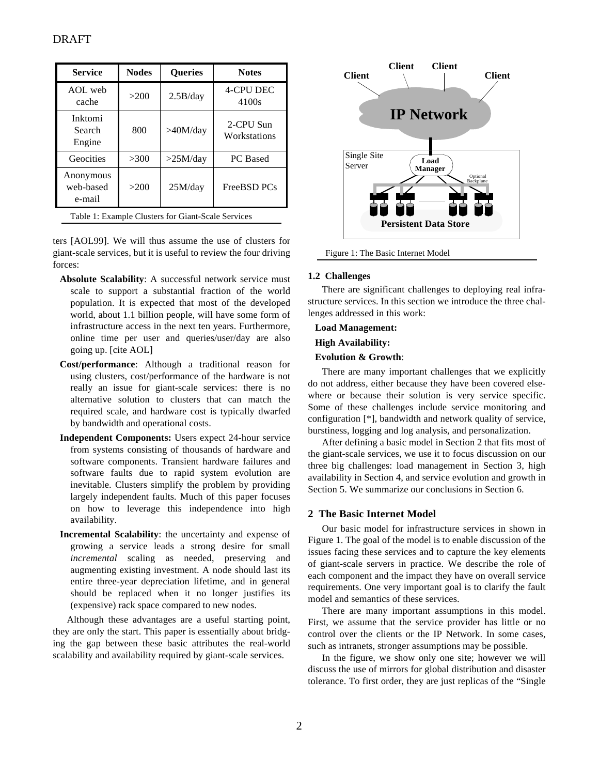| <b>Service</b>                                     | <b>Nodes</b> | <b>Oueries</b> | <b>Notes</b>              |
|----------------------------------------------------|--------------|----------------|---------------------------|
| AOL web<br>cache                                   | >200         | 2.5B/day       | <b>4-CPU DEC</b><br>4100s |
| Inktomi<br>Search<br>Engine                        | 800          | >40M/day       | 2-CPU Sun<br>Workstations |
| Geocities                                          | >300         | >25M/day       | PC Based                  |
| Anonymous<br>web-based<br>e-mail                   | >200         | 25M/day        | FreeBSD PCs               |
| Table 1: Example Clusters for Giant-Scale Services |              |                |                           |

ters [AOL99]. We will thus assume the use of clusters for giant-scale services, but it is useful to review the four driving forces:

- **Absolute Scalability**: A successful network service must scale to support a substantial fraction of the world population. It is expected that most of the developed world, about 1.1 billion people, will have some form of infrastructure access in the next ten years. Furthermore, online time per user and queries/user/day are also going up. [cite AOL]
- **Cost/performance**: Although a traditional reason for using clusters, cost/performance of the hardware is not really an issue for giant-scale services: there is no alternative solution to clusters that can match the required scale, and hardware cost is typically dwarfed by bandwidth and operational costs.
- **Independent Components:** Users expect 24-hour service from systems consisting of thousands of hardware and software components. Transient hardware failures and software faults due to rapid system evolution are inevitable. Clusters simplify the problem by providing largely independent faults. Much of this paper focuses on how to leverage this independence into high availability.
- **Incremental Scalability**: the uncertainty and expense of growing a service leads a strong desire for small *incremental* scaling as needed, preserving and augmenting existing investment. A node should last its entire three-year depreciation lifetime, and in general should be replaced when it no longer justifies its (expensive) rack space compared to new nodes.

Although these advantages are a useful starting point, they are only the start. This paper is essentially about bridging the gap between these basic attributes the real-world scalability and availability required by giant-scale services.



Figure 1: The Basic Internet Model

# **1.2 Challenges**

There are significant challenges to deploying real infrastructure services. In this section we introduce the three challenges addressed in this work:

# **Load Management:**

### **High Availability:**

# **Evolution & Growth**:

There are many important challenges that we explicitly do not address, either because they have been covered elsewhere or because their solution is very service specific. Some of these challenges include service monitoring and configuration [\*], bandwidth and network quality of service, burstiness, logging and log analysis, and personalization.

After defining a basic model in Section 2 that fits most of the giant-scale services, we use it to focus discussion on our three big challenges: load management in Section 3, high availability in Section 4, and service evolution and growth in Section 5. We summarize our conclusions in Section 6.

# **2 The Basic Internet Model**

Our basic model for infrastructure services in shown in Figure 1. The goal of the model is to enable discussion of the issues facing these services and to capture the key elements of giant-scale servers in practice. We describe the role of each component and the impact they have on overall service requirements. One very important goal is to clarify the fault model and semantics of these services.

There are many important assumptions in this model. First, we assume that the service provider has little or no control over the clients or the IP Network. In some cases, such as intranets, stronger assumptions may be possible.

In the figure, we show only one site; however we will discuss the use of mirrors for global distribution and disaster tolerance. To first order, they are just replicas of the "Single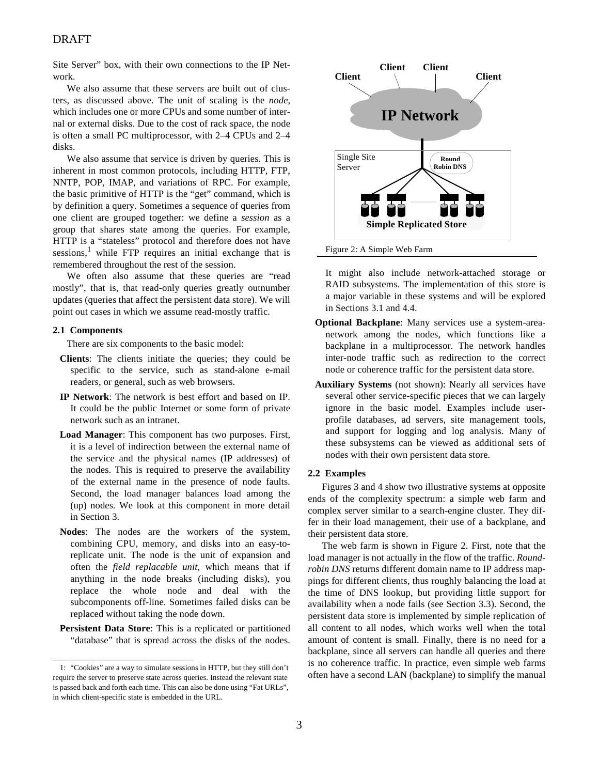Site Server" box, with their own connections to the IP Network.

We also assume that these servers are built out of clusters, as discussed above. The unit of scaling is the *node*, which includes one or more CPUs and some number of internal or external disks. Due to the cost of rack space, the node is often a small PC multiprocessor, with 2–4 CPUs and 2–4 disks.

We also assume that service is driven by queries. This is inherent in most common protocols, including HTTP, FTP, NNTP, POP, IMAP, and variations of RPC. For example, the basic primitive of HTTP is the "get" command, which is by definition a query. Sometimes a sequence of queries from one client are grouped together: we define a *session* as a group that shares state among the queries. For example, HTTP is a "stateless" protocol and therefore does not have sessions,<sup>1</sup> while FTP requires an initial exchange that is remembered throughout the rest of the session.

We often also assume that these queries are "read mostly", that is, that read-only queries greatly outnumber updates (queries that affect the persistent data store). We will point out cases in which we assume read-mostly traffic.

#### **2.1 Components**

There are six components to the basic model:

- **Clients**: The clients initiate the queries; they could be specific to the service, such as stand-alone e-mail readers, or general, such as web browsers.
- **IP Network**: The network is best effort and based on IP. It could be the public Internet or some form of private network such as an intranet.
- **Load Manager**: This component has two purposes. First, it is a level of indirection between the external name of the service and the physical names (IP addresses) of the nodes. This is required to preserve the availability of the external name in the presence of node faults. Second, the load manager balances load among the (up) nodes. We look at this component in more detail in Section 3.
- **Nodes**: The nodes are the workers of the system, combining CPU, memory, and disks into an easy-toreplicate unit. The node is the unit of expansion and often the *field replacable unit*, which means that if anything in the node breaks (including disks), you replace the whole node and deal with the subcomponents off-line. Sometimes failed disks can be replaced without taking the node down.
- **Persistent Data Store**: This is a replicated or partitioned "database" that is spread across the disks of the nodes.



It might also include network-attached storage or RAID subsystems. The implementation of this store is a major variable in these systems and will be explored in Sections 3.1 and 4.4.

- **Optional Backplane**: Many services use a system-areanetwork among the nodes, which functions like a backplane in a multiprocessor. The network handles inter-node traffic such as redirection to the correct node or coherence traffic for the persistent data store.
- **Auxiliary Systems** (not shown): Nearly all services have several other service-specific pieces that we can largely ignore in the basic model. Examples include userprofile databases, ad servers, site management tools, and support for logging and log analysis. Many of these subsystems can be viewed as additional sets of nodes with their own persistent data store.

### **2.2 Examples**

Figures 3 and 4 show two illustrative systems at opposite ends of the complexity spectrum: a simple web farm and complex server similar to a search-engine cluster. They differ in their load management, their use of a backplane, and their persistent data store.

The web farm is shown in Figure 2. First, note that the load manager is not actually in the flow of the traffic. *Roundrobin DNS* returns different domain name to IP address mappings for different clients, thus roughly balancing the load at the time of DNS lookup, but providing little support for availability when a node fails (see Section 3.3). Second, the persistent data store is implemented by simple replication of all content to all nodes, which works well when the total amount of content is small. Finally, there is no need for a backplane, since all servers can handle all queries and there is no coherence traffic. In practice, even simple web farms often have a second LAN (backplane) to simplify the manual

<sup>1:</sup> "Cookies" are a way to simulate sessions in HTTP, but they still don't require the server to preserve state across queries. Instead the relevant state is passed back and forth each time. This can also be done using "Fat URLs", in which client-specific state is embedded in the URL.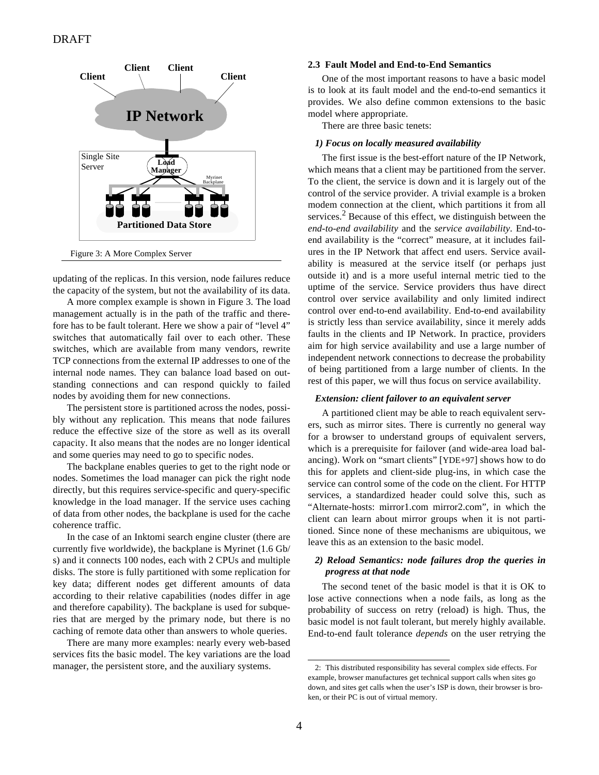

Figure 3: A More Complex Server

updating of the replicas. In this version, node failures reduce the capacity of the system, but not the availability of its data.

A more complex example is shown in Figure 3. The load management actually is in the path of the traffic and therefore has to be fault tolerant. Here we show a pair of "level 4" switches that automatically fail over to each other. These switches, which are available from many vendors, rewrite TCP connections from the external IP addresses to one of the internal node names. They can balance load based on outstanding connections and can respond quickly to failed nodes by avoiding them for new connections.

The persistent store is partitioned across the nodes, possibly without any replication. This means that node failures reduce the effective size of the store as well as its overall capacity. It also means that the nodes are no longer identical and some queries may need to go to specific nodes.

The backplane enables queries to get to the right node or nodes. Sometimes the load manager can pick the right node directly, but this requires service-specific and query-specific knowledge in the load manager. If the service uses caching of data from other nodes, the backplane is used for the cache coherence traffic.

In the case of an Inktomi search engine cluster (there are currently five worldwide), the backplane is Myrinet (1.6 Gb/ s) and it connects 100 nodes, each with 2 CPUs and multiple disks. The store is fully partitioned with some replication for key data; different nodes get different amounts of data according to their relative capabilities (nodes differ in age and therefore capability). The backplane is used for subqueries that are merged by the primary node, but there is no caching of remote data other than answers to whole queries.

There are many more examples: nearly every web-based services fits the basic model. The key variations are the load manager, the persistent store, and the auxiliary systems.

### **2.3 Fault Model and End-to-End Semantics**

One of the most important reasons to have a basic model is to look at its fault model and the end-to-end semantics it provides. We also define common extensions to the basic model where appropriate.

There are three basic tenets:

### *1) Focus on locally measured availability*

The first issue is the best-effort nature of the IP Network, which means that a client may be partitioned from the server. To the client, the service is down and it is largely out of the control of the service provider. A trivial example is a broken modem connection at the client, which partitions it from all services.<sup>2</sup> Because of this effect, we distinguish between the *end-to-end availability* and the *service availability*. End-toend availability is the "correct" measure, at it includes failures in the IP Network that affect end users. Service availability is measured at the service itself (or perhaps just outside it) and is a more useful internal metric tied to the uptime of the service. Service providers thus have direct control over service availability and only limited indirect control over end-to-end availability. End-to-end availability is strictly less than service availability, since it merely adds faults in the clients and IP Network. In practice, providers aim for high service availability and use a large number of independent network connections to decrease the probability of being partitioned from a large number of clients. In the rest of this paper, we will thus focus on service availability.

#### *Extension: client failover to an equivalent server*

A partitioned client may be able to reach equivalent servers, such as mirror sites. There is currently no general way for a browser to understand groups of equivalent servers, which is a prerequisite for failover (and wide-area load balancing). Work on "smart clients" [YDE+97] shows how to do this for applets and client-side plug-ins, in which case the service can control some of the code on the client. For HTTP services, a standardized header could solve this, such as "Alternate-hosts: mirror1.com mirror2.com", in which the client can learn about mirror groups when it is not partitioned. Since none of these mechanisms are ubiquitous, we leave this as an extension to the basic model.

# *2) Reload Semantics: node failures drop the queries in progress at that node*

The second tenet of the basic model is that it is OK to lose active connections when a node fails, as long as the probability of success on retry (reload) is high. Thus, the basic model is not fault tolerant, but merely highly available. End-to-end fault tolerance *depends* on the user retrying the

<sup>2:</sup> This distributed responsibility has several complex side effects. For example, browser manufactures get technical support calls when sites go down, and sites get calls when the user's ISP is down, their browser is broken, or their PC is out of virtual memory.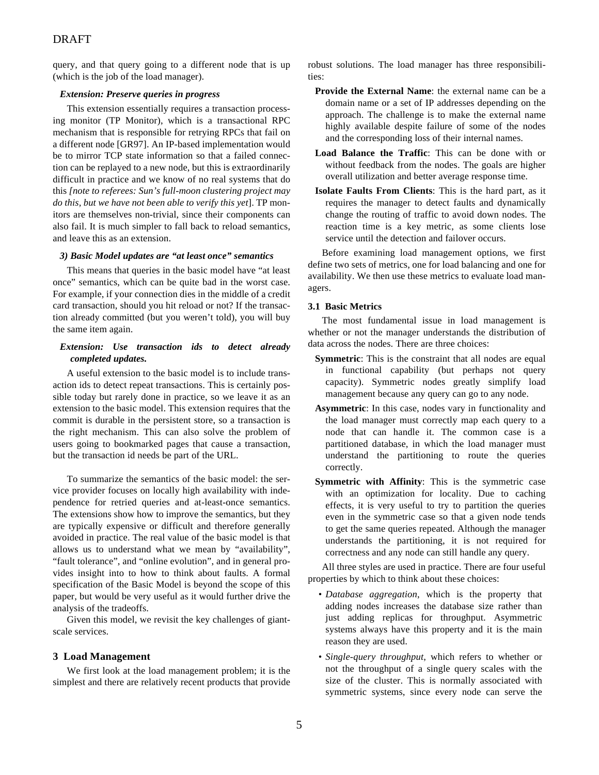# DRAFT

query, and that query going to a different node that is up (which is the job of the load manager).

### *Extension: Preserve queries in progress*

This extension essentially requires a transaction processing monitor (TP Monitor), which is a transactional RPC mechanism that is responsible for retrying RPCs that fail on a different node [GR97]. An IP-based implementation would be to mirror TCP state information so that a failed connection can be replayed to a new node, but this is extraordinarily difficult in practice and we know of no real systems that do this *[note to referees: Sun's full-moon clustering project may do this, but we have not been able to verify this yet*]. TP monitors are themselves non-trivial, since their components can also fail. It is much simpler to fall back to reload semantics, and leave this as an extension.

### *3) Basic Model updates are "at least once" semantics*

This means that queries in the basic model have "at least once" semantics, which can be quite bad in the worst case. For example, if your connection dies in the middle of a credit card transaction, should you hit reload or not? If the transaction already committed (but you weren't told), you will buy the same item again.

# *Extension: Use transaction ids to detect already completed updates.*

A useful extension to the basic model is to include transaction ids to detect repeat transactions. This is certainly possible today but rarely done in practice, so we leave it as an extension to the basic model. This extension requires that the commit is durable in the persistent store, so a transaction is the right mechanism. This can also solve the problem of users going to bookmarked pages that cause a transaction, but the transaction id needs be part of the URL.

To summarize the semantics of the basic model: the service provider focuses on locally high availability with independence for retried queries and at-least-once semantics. The extensions show how to improve the semantics, but they are typically expensive or difficult and therefore generally avoided in practice. The real value of the basic model is that allows us to understand what we mean by "availability", "fault tolerance", and "online evolution", and in general provides insight into to how to think about faults. A formal specification of the Basic Model is beyond the scope of this paper, but would be very useful as it would further drive the analysis of the tradeoffs.

Given this model, we revisit the key challenges of giantscale services.

# **3 Load Management**

We first look at the load management problem; it is the simplest and there are relatively recent products that provide robust solutions. The load manager has three responsibilities:

- **Provide the External Name**: the external name can be a domain name or a set of IP addresses depending on the approach. The challenge is to make the external name highly available despite failure of some of the nodes and the corresponding loss of their internal names.
- **Load Balance the Traffic**: This can be done with or without feedback from the nodes. The goals are higher overall utilization and better average response time.
- **Isolate Faults From Clients**: This is the hard part, as it requires the manager to detect faults and dynamically change the routing of traffic to avoid down nodes. The reaction time is a key metric, as some clients lose service until the detection and failover occurs.

Before examining load management options, we first define two sets of metrics, one for load balancing and one for availability. We then use these metrics to evaluate load managers.

# **3.1 Basic Metrics**

The most fundamental issue in load management is whether or not the manager understands the distribution of data across the nodes. There are three choices:

- **Symmetric**: This is the constraint that all nodes are equal in functional capability (but perhaps not query capacity). Symmetric nodes greatly simplify load management because any query can go to any node.
- **Asymmetric**: In this case, nodes vary in functionality and the load manager must correctly map each query to a node that can handle it. The common case is a partitioned database, in which the load manager must understand the partitioning to route the queries correctly.
- **Symmetric with Affinity**: This is the symmetric case with an optimization for locality. Due to caching effects, it is very useful to try to partition the queries even in the symmetric case so that a given node tends to get the same queries repeated. Although the manager understands the partitioning, it is not required for correctness and any node can still handle any query.

All three styles are used in practice. There are four useful properties by which to think about these choices:

- *Database aggregation*, which is the property that adding nodes increases the database size rather than just adding replicas for throughput. Asymmetric systems always have this property and it is the main reason they are used.
- *Single-query throughput*, which refers to whether or not the throughput of a single query scales with the size of the cluster. This is normally associated with symmetric systems, since every node can serve the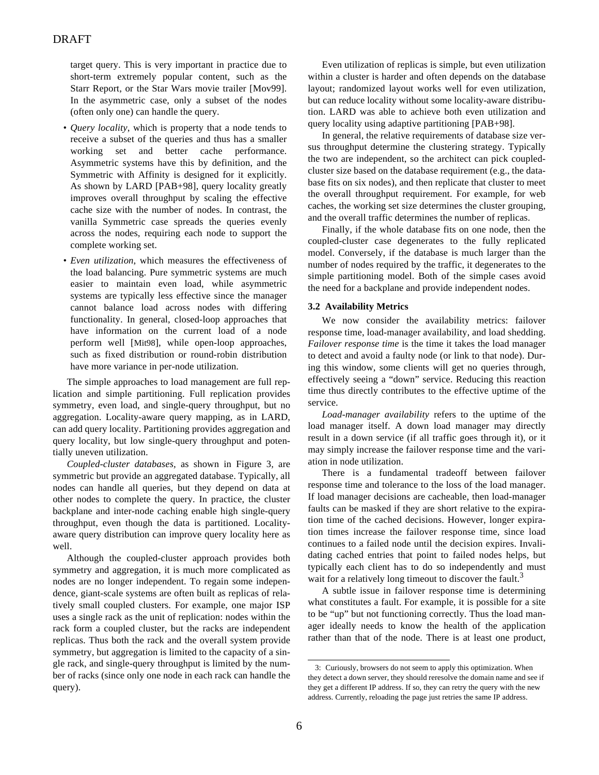target query. This is very important in practice due to short-term extremely popular content, such as the Starr Report, or the Star Wars movie trailer [Mov99]. In the asymmetric case, only a subset of the nodes (often only one) can handle the query.

- *Query locality*, which is property that a node tends to receive a subset of the queries and thus has a smaller working set and better cache performance. Asymmetric systems have this by definition, and the Symmetric with Affinity is designed for it explicitly. As shown by LARD [PAB+98], query locality greatly improves overall throughput by scaling the effective cache size with the number of nodes. In contrast, the vanilla Symmetric case spreads the queries evenly across the nodes, requiring each node to support the complete working set.
- *Even utilization*, which measures the effectiveness of the load balancing. Pure symmetric systems are much easier to maintain even load, while asymmetric systems are typically less effective since the manager cannot balance load across nodes with differing functionality. In general, closed-loop approaches that have information on the current load of a node perform well [Mit98], while open-loop approaches, such as fixed distribution or round-robin distribution have more variance in per-node utilization.

The simple approaches to load management are full replication and simple partitioning. Full replication provides symmetry, even load, and single-query throughput, but no aggregation. Locality-aware query mapping, as in LARD, can add query locality. Partitioning provides aggregation and query locality, but low single-query throughput and potentially uneven utilization.

*Coupled-cluster databases,* as shown in Figure 3*,* are symmetric but provide an aggregated database. Typically, all nodes can handle all queries, but they depend on data at other nodes to complete the query. In practice, the cluster backplane and inter-node caching enable high single-query throughput, even though the data is partitioned. Localityaware query distribution can improve query locality here as well.

Although the coupled-cluster approach provides both symmetry and aggregation, it is much more complicated as nodes are no longer independent. To regain some independence, giant-scale systems are often built as replicas of relatively small coupled clusters. For example, one major ISP uses a single rack as the unit of replication: nodes within the rack form a coupled cluster, but the racks are independent replicas. Thus both the rack and the overall system provide symmetry, but aggregation is limited to the capacity of a single rack, and single-query throughput is limited by the number of racks (since only one node in each rack can handle the query).

Even utilization of replicas is simple, but even utilization within a cluster is harder and often depends on the database layout; randomized layout works well for even utilization, but can reduce locality without some locality-aware distribution. LARD was able to achieve both even utilization and query locality using adaptive partitioning [PAB+98].

In general, the relative requirements of database size versus throughput determine the clustering strategy. Typically the two are independent, so the architect can pick coupledcluster size based on the database requirement (e.g., the database fits on six nodes), and then replicate that cluster to meet the overall throughput requirement. For example, for web caches, the working set size determines the cluster grouping, and the overall traffic determines the number of replicas.

Finally, if the whole database fits on one node, then the coupled-cluster case degenerates to the fully replicated model. Conversely, if the database is much larger than the number of nodes required by the traffic, it degenerates to the simple partitioning model. Both of the simple cases avoid the need for a backplane and provide independent nodes.

# **3.2 Availability Metrics**

We now consider the availability metrics: failover response time, load-manager availability, and load shedding. *Failover response time* is the time it takes the load manager to detect and avoid a faulty node (or link to that node). During this window, some clients will get no queries through, effectively seeing a "down" service. Reducing this reaction time thus directly contributes to the effective uptime of the service.

*Load-manager availability* refers to the uptime of the load manager itself. A down load manager may directly result in a down service (if all traffic goes through it), or it may simply increase the failover response time and the variation in node utilization.

There is a fundamental tradeoff between failover response time and tolerance to the loss of the load manager. If load manager decisions are cacheable, then load-manager faults can be masked if they are short relative to the expiration time of the cached decisions. However, longer expiration times increase the failover response time, since load continues to a failed node until the decision expires. Invalidating cached entries that point to failed nodes helps, but typically each client has to do so independently and must wait for a relatively long timeout to discover the fault.<sup>3</sup>

A subtle issue in failover response time is determining what constitutes a fault. For example, it is possible for a site to be "up" but not functioning correctly. Thus the load manager ideally needs to know the health of the application rather than that of the node. There is at least one product,

<sup>3:</sup> Curiously, browsers do not seem to apply this optimization. When they detect a down server, they should reresolve the domain name and see if they get a different IP address. If so, they can retry the query with the new address. Currently, reloading the page just retries the same IP address.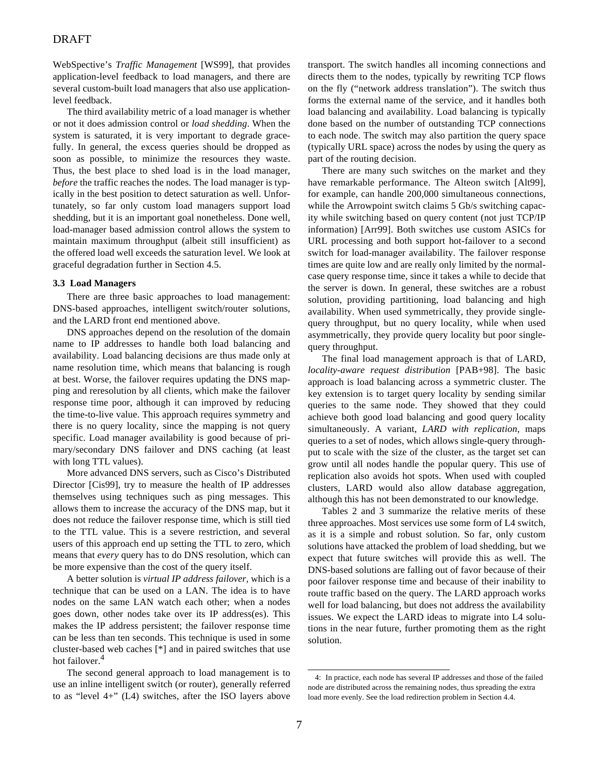# DRAFT

WebSpective's *Traffic Management* [WS99], that provides application-level feedback to load managers, and there are several custom-built load managers that also use applicationlevel feedback.

The third availability metric of a load manager is whether or not it does admission control or *load shedding*. When the system is saturated, it is very important to degrade gracefully. In general, the excess queries should be dropped as soon as possible, to minimize the resources they waste. Thus, the best place to shed load is in the load manager, *before* the traffic reaches the nodes. The load manager is typically in the best position to detect saturation as well. Unfortunately, so far only custom load managers support load shedding, but it is an important goal nonetheless. Done well, load-manager based admission control allows the system to maintain maximum throughput (albeit still insufficient) as the offered load well exceeds the saturation level. We look at graceful degradation further in Section 4.5.

### **3.3 Load Managers**

There are three basic approaches to load management: DNS-based approaches, intelligent switch/router solutions, and the LARD front end mentioned above.

DNS approaches depend on the resolution of the domain name to IP addresses to handle both load balancing and availability. Load balancing decisions are thus made only at name resolution time, which means that balancing is rough at best. Worse, the failover requires updating the DNS mapping and reresolution by all clients, which make the failover response time poor, although it can improved by reducing the time-to-live value. This approach requires symmetry and there is no query locality, since the mapping is not query specific. Load manager availability is good because of primary/secondary DNS failover and DNS caching (at least with long TTL values).

More advanced DNS servers, such as Cisco's Distributed Director [Cis99], try to measure the health of IP addresses themselves using techniques such as ping messages. This allows them to increase the accuracy of the DNS map, but it does not reduce the failover response time, which is still tied to the TTL value. This is a severe restriction, and several users of this approach end up setting the TTL to zero, which means that *every* query has to do DNS resolution, which can be more expensive than the cost of the query itself.

A better solution is *virtual IP address failover*, which is a technique that can be used on a LAN. The idea is to have nodes on the same LAN watch each other; when a nodes goes down, other nodes take over its IP address(es). This makes the IP address persistent; the failover response time can be less than ten seconds. This technique is used in some cluster-based web caches [\*] and in paired switches that use hot failover.<sup>4</sup>

The second general approach to load management is to use an inline intelligent switch (or router), generally referred to as "level 4+" (L4) switches, after the ISO layers above transport. The switch handles all incoming connections and directs them to the nodes, typically by rewriting TCP flows on the fly ("network address translation"). The switch thus forms the external name of the service, and it handles both load balancing and availability. Load balancing is typically done based on the number of outstanding TCP connections to each node. The switch may also partition the query space (typically URL space) across the nodes by using the query as part of the routing decision.

There are many such switches on the market and they have remarkable performance. The Alteon switch [Alt99], for example, can handle 200,000 simultaneous connections, while the Arrowpoint switch claims 5 Gb/s switching capacity while switching based on query content (not just TCP/IP information) [Arr99]. Both switches use custom ASICs for URL processing and both support hot-failover to a second switch for load-manager availability. The failover response times are quite low and are really only limited by the normalcase query response time, since it takes a while to decide that the server is down. In general, these switches are a robust solution, providing partitioning, load balancing and high availability. When used symmetrically, they provide singlequery throughput, but no query locality, while when used asymmetrically, they provide query locality but poor singlequery throughput.

The final load management approach is that of LARD, *locality-aware request distribution* [PAB+98]. The basic approach is load balancing across a symmetric cluster. The key extension is to target query locality by sending similar queries to the same node. They showed that they could achieve both good load balancing and good query locality simultaneously. A variant, *LARD with replication*, maps queries to a set of nodes, which allows single-query throughput to scale with the size of the cluster, as the target set can grow until all nodes handle the popular query. This use of replication also avoids hot spots. When used with coupled clusters, LARD would also allow database aggregation, although this has not been demonstrated to our knowledge.

Tables 2 and 3 summarize the relative merits of these three approaches. Most services use some form of L4 switch, as it is a simple and robust solution. So far, only custom solutions have attacked the problem of load shedding, but we expect that future switches will provide this as well. The DNS-based solutions are falling out of favor because of their poor failover response time and because of their inability to route traffic based on the query. The LARD approach works well for load balancing, but does not address the availability issues. We expect the LARD ideas to migrate into L4 solutions in the near future, further promoting them as the right solution.

<sup>4:</sup> In practice, each node has several IP addresses and those of the failed node are distributed across the remaining nodes, thus spreading the extra load more evenly. See the load redirection problem in Section 4.4.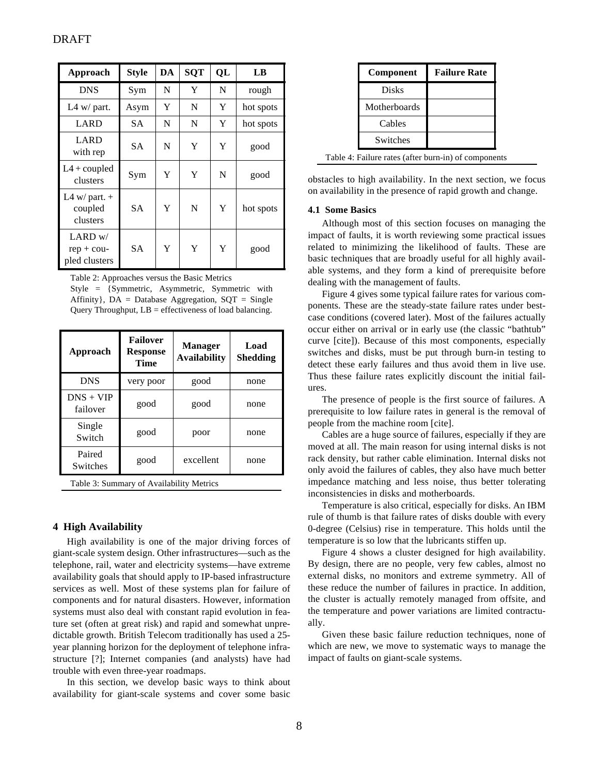| Approach                                   | <b>Style</b> | DA | <b>SQT</b> | QL | LB        |
|--------------------------------------------|--------------|----|------------|----|-----------|
| <b>DNS</b>                                 | Sym          | N  | Y          | N  | rough     |
| L4 $w/$ part.                              | Asym         | Y  | N          | Y  | hot spots |
| LARD                                       | <b>SA</b>    | N  | N          | Y  | hot spots |
| LARD<br>with rep                           | SА           | N  | Y          | Y  | good      |
| $L4 + \text{coupled}$<br>clusters          | Sym          | Y  | Y          | N  | good      |
| L4 w/ part. $+$<br>coupled<br>clusters     | <b>SA</b>    | Y  | N          | Y  | hot spots |
| $LARD$ w/<br>$rep + cou-$<br>pled clusters | <b>SA</b>    | Y  | Y          | Y  | good      |

Table 2: Approaches versus the Basic Metrics Style = {Symmetric, Asymmetric, Symmetric with Affinity},  $DA = Database$  Aggregation,  $SQT = Single$ Query Throughput,  $LB =$  effectiveness of load balancing.

| Approach                | <b>Failover</b><br><b>Response</b><br>Time | <b>Manager</b><br><b>Availability</b> | Load<br><b>Shedding</b> |
|-------------------------|--------------------------------------------|---------------------------------------|-------------------------|
| <b>DNS</b>              | very poor                                  | good                                  | none                    |
| $DNS + VIP$<br>failover | good                                       | good                                  | none                    |
| Single<br>Switch        | good                                       | poor                                  | none                    |
| Paired<br>Switches      | good                                       | excellent                             | none                    |

Table 3: Summary of Availability Metrics

# **4 High Availability**

High availability is one of the major driving forces of giant-scale system design. Other infrastructures—such as the telephone, rail, water and electricity systems—have extreme availability goals that should apply to IP-based infrastructure services as well. Most of these systems plan for failure of components and for natural disasters. However, information systems must also deal with constant rapid evolution in feature set (often at great risk) and rapid and somewhat unpredictable growth. British Telecom traditionally has used a 25 year planning horizon for the deployment of telephone infrastructure [?]; Internet companies (and analysts) have had trouble with even three-year roadmaps.

In this section, we develop basic ways to think about availability for giant-scale systems and cover some basic

| Component    | <b>Failure Rate</b> |
|--------------|---------------------|
| <b>Disks</b> |                     |
| Motherboards |                     |
| Cables       |                     |
| Switches     |                     |

Table 4: Failure rates (after burn-in) of components

obstacles to high availability. In the next section, we focus on availability in the presence of rapid growth and change.

### **4.1 Some Basics**

Although most of this section focuses on managing the impact of faults, it is worth reviewing some practical issues related to minimizing the likelihood of faults. These are basic techniques that are broadly useful for all highly available systems, and they form a kind of prerequisite before dealing with the management of faults.

Figure 4 gives some typical failure rates for various components. These are the steady-state failure rates under bestcase conditions (covered later). Most of the failures actually occur either on arrival or in early use (the classic "bathtub" curve [cite]). Because of this most components, especially switches and disks, must be put through burn-in testing to detect these early failures and thus avoid them in live use. Thus these failure rates explicitly discount the initial failures.

The presence of people is the first source of failures. A prerequisite to low failure rates in general is the removal of people from the machine room [cite].

Cables are a huge source of failures, especially if they are moved at all. The main reason for using internal disks is not rack density, but rather cable elimination. Internal disks not only avoid the failures of cables, they also have much better impedance matching and less noise, thus better tolerating inconsistencies in disks and motherboards.

Temperature is also critical, especially for disks. An IBM rule of thumb is that failure rates of disks double with every 0-degree (Celsius) rise in temperature. This holds until the temperature is so low that the lubricants stiffen up.

Figure 4 shows a cluster designed for high availability. By design, there are no people, very few cables, almost no external disks, no monitors and extreme symmetry. All of these reduce the number of failures in practice. In addition, the cluster is actually remotely managed from offsite, and the temperature and power variations are limited contractually.

Given these basic failure reduction techniques, none of which are new, we move to systematic ways to manage the impact of faults on giant-scale systems.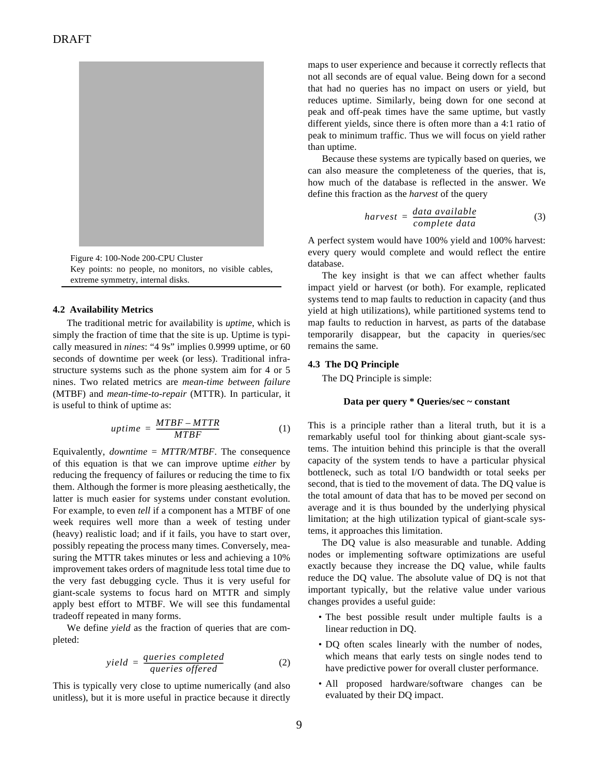

Figure 4: 100-Node 200-CPU Cluster Key points: no people, no monitors, no visible cables, extreme symmetry, internal disks.

#### **4.2 Availability Metrics**

The traditional metric for availability is *uptime*, which is simply the fraction of time that the site is up. Uptime is typically measured in *nines*: "4 9s" implies 0.9999 uptime, or 60 seconds of downtime per week (or less). Traditional infrastructure systems such as the phone system aim for 4 or 5 nines. Two related metrics are *mean-time between failure* (MTBF) and *mean-time-to-repair* (MTTR). In particular, it is useful to think of uptime as:

$$
uptime = \frac{MTBF - MTTR}{MTBF}
$$
 (1)

Equivalently, *downtime* = *MTTR/MTBF*. The consequence of this equation is that we can improve uptime *either* by reducing the frequency of failures or reducing the time to fix them. Although the former is more pleasing aesthetically, the latter is much easier for systems under constant evolution. For example, to even *tell* if a component has a MTBF of one week requires well more than a week of testing under (heavy) realistic load; and if it fails, you have to start over, possibly repeating the process many times. Conversely, measuring the MTTR takes minutes or less and achieving a 10% improvement takes orders of magnitude less total time due to the very fast debugging cycle. Thus it is very useful for giant-scale systems to focus hard on MTTR and simply apply best effort to MTBF. We will see this fundamental tradeoff repeated in many forms.

We define *yield* as the fraction of queries that are completed:

$$
yield = \frac{queries \ completed}{queries \ offered} \tag{2}
$$

This is typically very close to uptime numerically (and also unitless), but it is more useful in practice because it directly maps to user experience and because it correctly reflects that not all seconds are of equal value. Being down for a second that had no queries has no impact on users or yield, but reduces uptime. Similarly, being down for one second at peak and off-peak times have the same uptime, but vastly different yields, since there is often more than a 4:1 ratio of peak to minimum traffic. Thus we will focus on yield rather than uptime.

Because these systems are typically based on queries, we can also measure the completeness of the queries, that is, how much of the database is reflected in the answer. We define this fraction as the *harvest* of the query

$$
harvest = \frac{data\ available}{complete\ data} \tag{3}
$$

A perfect system would have 100% yield and 100% harvest: every query would complete and would reflect the entire database.

The key insight is that we can affect whether faults impact yield or harvest (or both). For example, replicated systems tend to map faults to reduction in capacity (and thus yield at high utilizations), while partitioned systems tend to map faults to reduction in harvest, as parts of the database temporarily disappear, but the capacity in queries/sec remains the same.

### **4.3 The DQ Principle**

The DQ Principle is simple:

### **Data per query \* Queries/sec ~ constant**

This is a principle rather than a literal truth, but it is a remarkably useful tool for thinking about giant-scale systems. The intuition behind this principle is that the overall capacity of the system tends to have a particular physical bottleneck, such as total I/O bandwidth or total seeks per second, that is tied to the movement of data. The DQ value is the total amount of data that has to be moved per second on average and it is thus bounded by the underlying physical limitation; at the high utilization typical of giant-scale systems, it approaches this limitation.

The DQ value is also measurable and tunable. Adding nodes or implementing software optimizations are useful exactly because they increase the DQ value, while faults reduce the DQ value. The absolute value of DQ is not that important typically, but the relative value under various changes provides a useful guide:

- The best possible result under multiple faults is a linear reduction in DQ.
- DQ often scales linearly with the number of nodes, which means that early tests on single nodes tend to have predictive power for overall cluster performance.
- All proposed hardware/software changes can be evaluated by their DQ impact.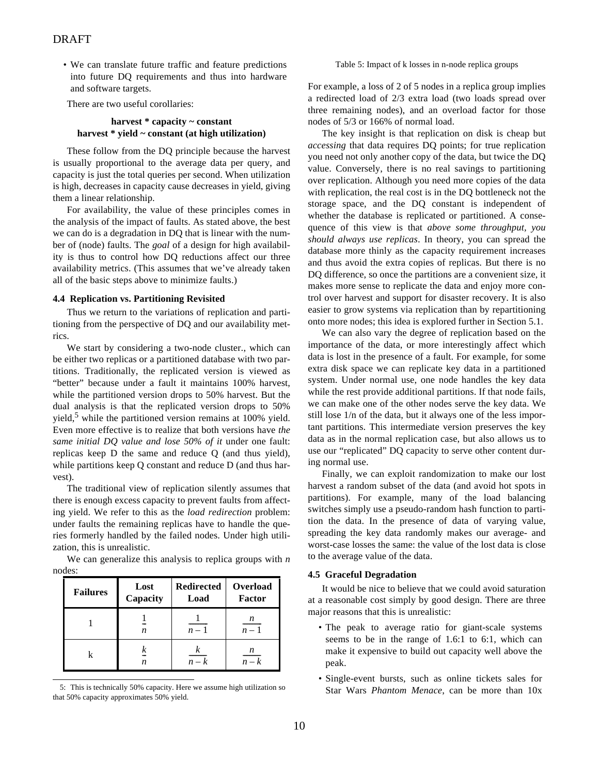• We can translate future traffic and feature predictions into future DQ requirements and thus into hardware and software targets.

There are two useful corollaries:

# **harvest \* capacity ~ constant harvest \* yield ~ constant (at high utilization)**

These follow from the DQ principle because the harvest is usually proportional to the average data per query, and capacity is just the total queries per second. When utilization is high, decreases in capacity cause decreases in yield, giving them a linear relationship.

For availability, the value of these principles comes in the analysis of the impact of faults. As stated above, the best we can do is a degradation in DQ that is linear with the number of (node) faults. The *goal* of a design for high availability is thus to control how DQ reductions affect our three availability metrics. (This assumes that we've already taken all of the basic steps above to minimize faults.)

### **4.4 Replication vs. Partitioning Revisited**

Thus we return to the variations of replication and partitioning from the perspective of DQ and our availability metrics.

We start by considering a two-node cluster., which can be either two replicas or a partitioned database with two partitions. Traditionally, the replicated version is viewed as "better" because under a fault it maintains 100% harvest, while the partitioned version drops to 50% harvest. But the dual analysis is that the replicated version drops to 50% yield,<sup>5</sup> while the partitioned version remains at 100% yield. Even more effective is to realize that both versions have *the same initial DQ value and lose 50% of it* under one fault: replicas keep D the same and reduce Q (and thus yield), while partitions keep Q constant and reduce D (and thus harvest).

The traditional view of replication silently assumes that there is enough excess capacity to prevent faults from affecting yield. We refer to this as the *load redirection* problem: under faults the remaining replicas have to handle the queries formerly handled by the failed nodes. Under high utilization, this is unrealistic.

We can generalize this analysis to replica groups with *n* nodes:

| <b>Failures</b> | Lost<br>Capacity | <b>Redirected</b><br>Load | Overload<br>Factor |
|-----------------|------------------|---------------------------|--------------------|
|                 | n                | $n-1$                     | n<br>$n-1$         |
|                 | n.               | $n-k$                     | n<br>$n-k$         |

<sup>5:</sup> This is technically 50% capacity. Here we assume high utilization so that 50% capacity approximates 50% yield.

#### Table 5: Impact of k losses in n-node replica groups

For example, a loss of 2 of 5 nodes in a replica group implies a redirected load of 2/3 extra load (two loads spread over three remaining nodes), and an overload factor for those nodes of 5/3 or 166% of normal load.

The key insight is that replication on disk is cheap but *accessing* that data requires DQ points; for true replication you need not only another copy of the data, but twice the DQ value. Conversely, there is no real savings to partitioning over replication. Although you need more copies of the data with replication, the real cost is in the DQ bottleneck not the storage space, and the DQ constant is independent of whether the database is replicated or partitioned. A consequence of this view is that *above some throughput, you should always use replicas*. In theory, you can spread the database more thinly as the capacity requirement increases and thus avoid the extra copies of replicas. But there is no DQ difference, so once the partitions are a convenient size, it makes more sense to replicate the data and enjoy more control over harvest and support for disaster recovery. It is also easier to grow systems via replication than by repartitioning onto more nodes; this idea is explored further in Section 5.1.

We can also vary the degree of replication based on the importance of the data, or more interestingly affect which data is lost in the presence of a fault. For example, for some extra disk space we can replicate key data in a partitioned system. Under normal use, one node handles the key data while the rest provide additional partitions. If that node fails, we can make one of the other nodes serve the key data. We still lose 1/n of the data, but it always one of the less important partitions. This intermediate version preserves the key data as in the normal replication case, but also allows us to use our "replicated" DQ capacity to serve other content during normal use.

Finally, we can exploit randomization to make our lost harvest a random subset of the data (and avoid hot spots in partitions). For example, many of the load balancing switches simply use a pseudo-random hash function to partition the data. In the presence of data of varying value, spreading the key data randomly makes our average- and worst-case losses the same: the value of the lost data is close to the average value of the data.

### **4.5 Graceful Degradation**

It would be nice to believe that we could avoid saturation at a reasonable cost simply by good design. There are three major reasons that this is unrealistic:

- The peak to average ratio for giant-scale systems seems to be in the range of 1.6:1 to 6:1, which can make it expensive to build out capacity well above the peak.
- Single-event bursts, such as online tickets sales for Star Wars *Phantom Menace*, can be more than 10x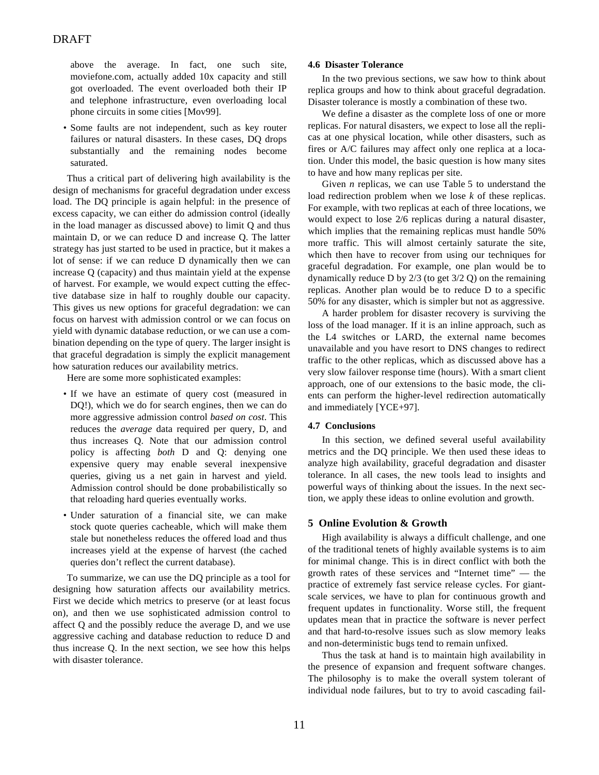above the average. In fact, one such site, moviefone.com, actually added 10x capacity and still got overloaded. The event overloaded both their IP and telephone infrastructure, even overloading local phone circuits in some cities [Mov99].

• Some faults are not independent, such as key router failures or natural disasters. In these cases, DQ drops substantially and the remaining nodes become saturated.

Thus a critical part of delivering high availability is the design of mechanisms for graceful degradation under excess load. The DQ principle is again helpful: in the presence of excess capacity, we can either do admission control (ideally in the load manager as discussed above) to limit Q and thus maintain D, or we can reduce D and increase Q. The latter strategy has just started to be used in practice, but it makes a lot of sense: if we can reduce D dynamically then we can increase Q (capacity) and thus maintain yield at the expense of harvest. For example, we would expect cutting the effective database size in half to roughly double our capacity. This gives us new options for graceful degradation: we can focus on harvest with admission control or we can focus on yield with dynamic database reduction, or we can use a combination depending on the type of query. The larger insight is that graceful degradation is simply the explicit management how saturation reduces our availability metrics.

Here are some more sophisticated examples:

- If we have an estimate of query cost (measured in DQ!), which we do for search engines, then we can do more aggressive admission control *based on cost*. This reduces the *average* data required per query, D, and thus increases Q. Note that our admission control policy is affecting *both* D and Q: denying one expensive query may enable several inexpensive queries, giving us a net gain in harvest and yield. Admission control should be done probabilistically so that reloading hard queries eventually works.
- Under saturation of a financial site, we can make stock quote queries cacheable, which will make them stale but nonetheless reduces the offered load and thus increases yield at the expense of harvest (the cached queries don't reflect the current database).

To summarize, we can use the DQ principle as a tool for designing how saturation affects our availability metrics. First we decide which metrics to preserve (or at least focus on), and then we use sophisticated admission control to affect Q and the possibly reduce the average D, and we use aggressive caching and database reduction to reduce D and thus increase Q. In the next section, we see how this helps with disaster tolerance.

### **4.6 Disaster Tolerance**

In the two previous sections, we saw how to think about replica groups and how to think about graceful degradation. Disaster tolerance is mostly a combination of these two.

We define a disaster as the complete loss of one or more replicas. For natural disasters, we expect to lose all the replicas at one physical location, while other disasters, such as fires or A/C failures may affect only one replica at a location. Under this model, the basic question is how many sites to have and how many replicas per site.

Given *n* replicas, we can use Table 5 to understand the load redirection problem when we lose *k* of these replicas. For example, with two replicas at each of three locations, we would expect to lose 2/6 replicas during a natural disaster, which implies that the remaining replicas must handle 50% more traffic. This will almost certainly saturate the site, which then have to recover from using our techniques for graceful degradation. For example, one plan would be to dynamically reduce D by 2/3 (to get 3/2 Q) on the remaining replicas. Another plan would be to reduce D to a specific 50% for any disaster, which is simpler but not as aggressive.

A harder problem for disaster recovery is surviving the loss of the load manager. If it is an inline approach, such as the L4 switches or LARD, the external name becomes unavailable and you have resort to DNS changes to redirect traffic to the other replicas, which as discussed above has a very slow failover response time (hours). With a smart client approach, one of our extensions to the basic mode, the clients can perform the higher-level redirection automatically and immediately [YCE+97].

# **4.7 Conclusions**

In this section, we defined several useful availability metrics and the DQ principle. We then used these ideas to analyze high availability, graceful degradation and disaster tolerance. In all cases, the new tools lead to insights and powerful ways of thinking about the issues. In the next section, we apply these ideas to online evolution and growth.

# **5 Online Evolution & Growth**

High availability is always a difficult challenge, and one of the traditional tenets of highly available systems is to aim for minimal change. This is in direct conflict with both the growth rates of these services and "Internet time" — the practice of extremely fast service release cycles. For giantscale services, we have to plan for continuous growth and frequent updates in functionality. Worse still, the frequent updates mean that in practice the software is never perfect and that hard-to-resolve issues such as slow memory leaks and non-deterministic bugs tend to remain unfixed.

Thus the task at hand is to maintain high availability in the presence of expansion and frequent software changes. The philosophy is to make the overall system tolerant of individual node failures, but to try to avoid cascading fail-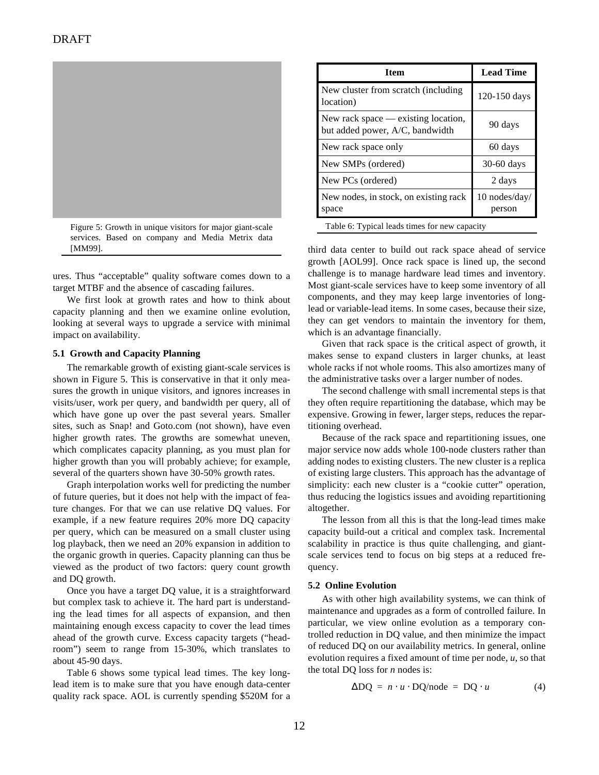

Figure 5: Growth in unique visitors for major giant-scale services. Based on company and Media Metrix data

ures. Thus "acceptable" quality software comes down to a target MTBF and the absence of cascading failures.

We first look at growth rates and how to think about capacity planning and then we examine online evolution, looking at several ways to upgrade a service with minimal impact on availability.

### **5.1 Growth and Capacity Planning**

The remarkable growth of existing giant-scale services is shown in Figure 5. This is conservative in that it only measures the growth in unique visitors, and ignores increases in visits/user, work per query, and bandwidth per query, all of which have gone up over the past several years. Smaller sites, such as Snap! and Goto.com (not shown), have even higher growth rates. The growths are somewhat uneven, which complicates capacity planning, as you must plan for higher growth than you will probably achieve; for example, several of the quarters shown have 30-50% growth rates.

Graph interpolation works well for predicting the number of future queries, but it does not help with the impact of feature changes. For that we can use relative DQ values. For example, if a new feature requires 20% more DQ capacity per query, which can be measured on a small cluster using log playback, then we need an 20% expansion in addition to the organic growth in queries. Capacity planning can thus be viewed as the product of two factors: query count growth and DQ growth.

Once you have a target DQ value, it is a straightforward but complex task to achieve it. The hard part is understanding the lead times for all aspects of expansion, and then maintaining enough excess capacity to cover the lead times ahead of the growth curve. Excess capacity targets ("headroom") seem to range from 15-30%, which translates to about 45-90 days.

Table 6 shows some typical lead times. The key longlead item is to make sure that you have enough data-center quality rack space. AOL is currently spending \$520M for a

| <b>Item</b>                                                              | <b>Lead Time</b>        |  |
|--------------------------------------------------------------------------|-------------------------|--|
| New cluster from scratch (including)<br>location)                        | 120-150 days            |  |
| New rack space $-$ existing location,<br>but added power, A/C, bandwidth | 90 days                 |  |
| New rack space only                                                      | 60 days                 |  |
| New SMPs (ordered)                                                       | 30-60 days              |  |
| New PCs (ordered)                                                        | 2 days                  |  |
| New nodes, in stock, on existing rack<br>space                           | 10 nodes/day/<br>person |  |
| Table 6: Typical leads times for new capacity                            |                         |  |

[MM99]. third data center to build out rack space ahead of service growth [AOL99]. Once rack space is lined up, the second challenge is to manage hardware lead times and inventory. Most giant-scale services have to keep some inventory of all components, and they may keep large inventories of longlead or variable-lead items. In some cases, because their size, they can get vendors to maintain the inventory for them, which is an advantage financially.

> Given that rack space is the critical aspect of growth, it makes sense to expand clusters in larger chunks, at least whole racks if not whole rooms. This also amortizes many of the administrative tasks over a larger number of nodes.

> The second challenge with small incremental steps is that they often require repartitioning the database, which may be expensive. Growing in fewer, larger steps, reduces the repartitioning overhead.

> Because of the rack space and repartitioning issues, one major service now adds whole 100-node clusters rather than adding nodes to existing clusters. The new cluster is a replica of existing large clusters. This approach has the advantage of simplicity: each new cluster is a "cookie cutter" operation, thus reducing the logistics issues and avoiding repartitioning altogether.

> The lesson from all this is that the long-lead times make capacity build-out a critical and complex task. Incremental scalability in practice is thus quite challenging, and giantscale services tend to focus on big steps at a reduced frequency.

### **5.2 Online Evolution**

As with other high availability systems, we can think of maintenance and upgrades as a form of controlled failure. In particular, we view online evolution as a temporary controlled reduction in DQ value, and then minimize the impact of reduced DQ on our availability metrics. In general, online evolution requires a fixed amount of time per node, *u*, so that the total DQ loss for *n* nodes is:

$$
\Delta DQ = n \cdot u \cdot DQ / node = DQ \cdot u \tag{4}
$$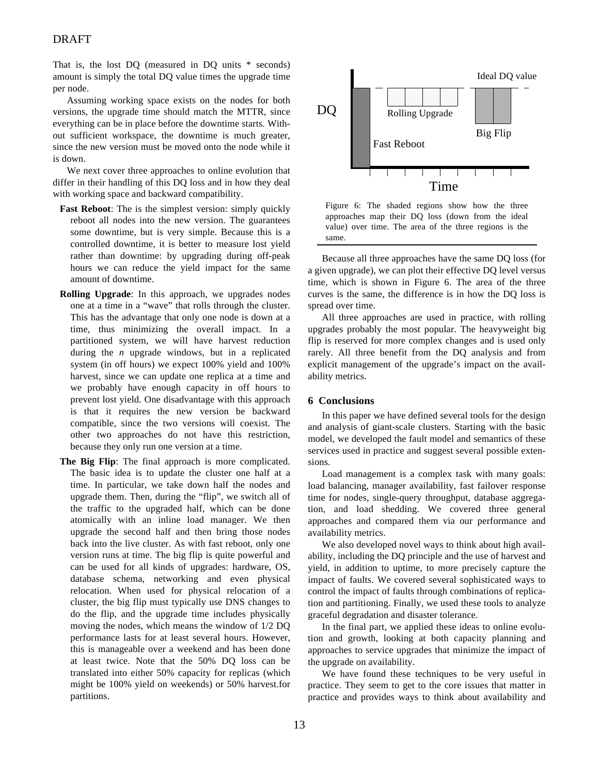That is, the lost DQ (measured in DQ units \* seconds) amount is simply the total DQ value times the upgrade time per node.

Assuming working space exists on the nodes for both versions, the upgrade time should match the MTTR, since everything can be in place before the downtime starts. Without sufficient workspace, the downtime is much greater, since the new version must be moved onto the node while it is down.

We next cover three approaches to online evolution that differ in their handling of this DQ loss and in how they deal with working space and backward compatibility.

- **Fast Reboot**: The is the simplest version: simply quickly reboot all nodes into the new version. The guarantees some downtime, but is very simple. Because this is a controlled downtime, it is better to measure lost yield rather than downtime: by upgrading during off-peak hours we can reduce the yield impact for the same amount of downtime.
- **Rolling Upgrade**: In this approach, we upgrades nodes one at a time in a "wave" that rolls through the cluster. This has the advantage that only one node is down at a time, thus minimizing the overall impact. In a partitioned system, we will have harvest reduction during the *n* upgrade windows, but in a replicated system (in off hours) we expect 100% yield and 100% harvest, since we can update one replica at a time and we probably have enough capacity in off hours to prevent lost yield. One disadvantage with this approach is that it requires the new version be backward compatible, since the two versions will coexist. The other two approaches do not have this restriction, because they only run one version at a time.
- **The Big Flip**: The final approach is more complicated. The basic idea is to update the cluster one half at a time. In particular, we take down half the nodes and upgrade them. Then, during the "flip", we switch all of the traffic to the upgraded half, which can be done atomically with an inline load manager. We then upgrade the second half and then bring those nodes back into the live cluster. As with fast reboot, only one version runs at time. The big flip is quite powerful and can be used for all kinds of upgrades: hardware, OS, database schema, networking and even physical relocation. When used for physical relocation of a cluster, the big flip must typically use DNS changes to do the flip, and the upgrade time includes physically moving the nodes, which means the window of 1/2 DQ performance lasts for at least several hours. However, this is manageable over a weekend and has been done at least twice. Note that the 50% DQ loss can be translated into either 50% capacity for replicas (which might be 100% yield on weekends) or 50% harvest.for partitions.



Figure 6: The shaded regions show how the three approaches map their DQ loss (down from the ideal value) over time. The area of the three regions is the same.

Because all three approaches have the same DQ loss (for a given upgrade), we can plot their effective DQ level versus time, which is shown in Figure 6. The area of the three curves is the same, the difference is in how the DQ loss is spread over time.

All three approaches are used in practice, with rolling upgrades probably the most popular. The heavyweight big flip is reserved for more complex changes and is used only rarely. All three benefit from the DQ analysis and from explicit management of the upgrade's impact on the availability metrics.

# **6 Conclusions**

In this paper we have defined several tools for the design and analysis of giant-scale clusters. Starting with the basic model, we developed the fault model and semantics of these services used in practice and suggest several possible extensions.

Load management is a complex task with many goals: load balancing, manager availability, fast failover response time for nodes, single-query throughput, database aggregation, and load shedding. We covered three general approaches and compared them via our performance and availability metrics.

We also developed novel ways to think about high availability, including the DQ principle and the use of harvest and yield, in addition to uptime, to more precisely capture the impact of faults. We covered several sophisticated ways to control the impact of faults through combinations of replication and partitioning. Finally, we used these tools to analyze graceful degradation and disaster tolerance.

In the final part, we applied these ideas to online evolution and growth, looking at both capacity planning and approaches to service upgrades that minimize the impact of the upgrade on availability.

We have found these techniques to be very useful in practice. They seem to get to the core issues that matter in practice and provides ways to think about availability and